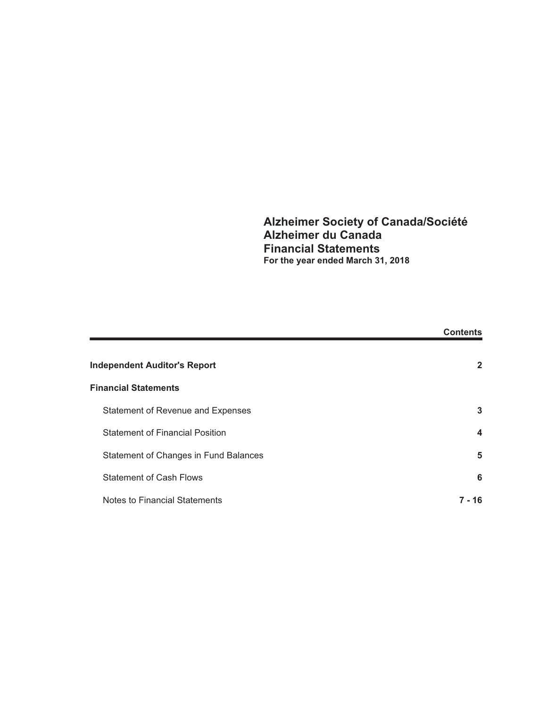## **Alzheimer Society of Canada/Société Alzheimer du Canada Financial Statements For the year ended March 31, 2018**

|                                        | <b>Contents</b>         |
|----------------------------------------|-------------------------|
| <b>Independent Auditor's Report</b>    | $\mathbf{2}$            |
| <b>Financial Statements</b>            |                         |
| Statement of Revenue and Expenses      | 3                       |
| <b>Statement of Financial Position</b> | $\overline{\mathbf{4}}$ |
| Statement of Changes in Fund Balances  | 5                       |
| <b>Statement of Cash Flows</b>         | 6                       |
| Notes to Financial Statements          | 7 - 16                  |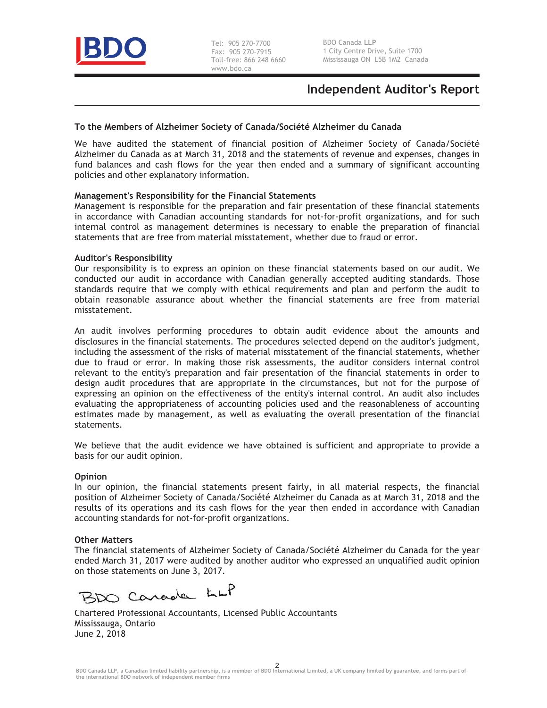

Tel: 905 270-7700 Fax: 905 270-7915 Toll-free: 866 248 6660 www.bdo.ca

## **Independent Auditor's Report**

### **To the Members of Alzheimer Society of Canada/Société Alzheimer du Canada**

We have audited the statement of financial position of Alzheimer Society of Canada/Société Alzheimer du Canada as at March 31, 2018 and the statements of revenue and expenses, changes in fund balances and cash flows for the year then ended and a summary of significant accounting policies and other explanatory information.

### **Management's Responsibility for the Financial Statements**

Management is responsible for the preparation and fair presentation of these financial statements in accordance with Canadian accounting standards for not-for-profit organizations, and for such internal control as management determines is necessary to enable the preparation of financial statements that are free from material misstatement, whether due to fraud or error.

### **Auditor's Responsibility**

Our responsibility is to express an opinion on these financial statements based on our audit. We conducted our audit in accordance with Canadian generally accepted auditing standards. Those standards require that we comply with ethical requirements and plan and perform the audit to obtain reasonable assurance about whether the financial statements are free from material misstatement.

An audit involves performing procedures to obtain audit evidence about the amounts and disclosures in the financial statements. The procedures selected depend on the auditor's judgment, including the assessment of the risks of material misstatement of the financial statements, whether due to fraud or error. In making those risk assessments, the auditor considers internal control relevant to the entity's preparation and fair presentation of the financial statements in order to design audit procedures that are appropriate in the circumstances, but not for the purpose of expressing an opinion on the effectiveness of the entity's internal control. An audit also includes evaluating the appropriateness of accounting policies used and the reasonableness of accounting estimates made by management, as well as evaluating the overall presentation of the financial statements.

We believe that the audit evidence we have obtained is sufficient and appropriate to provide a basis for our audit opinion.

#### **Opinion**

In our opinion, the financial statements present fairly, in all material respects, the financial position of Alzheimer Society of Canada/Société Alzheimer du Canada as at March 31, 2018 and the results of its operations and its cash flows for the year then ended in accordance with Canadian accounting standards for not-for-profit organizations.

#### **Other Matters**

The financial statements of Alzheimer Society of Canada/Société Alzheimer du Canada for the year ended March 31, 2017 were audited by another auditor who expressed an unqualified audit opinion on those statements on June 3, 2017.

BDO Carada LLP

Chartered Professional Accountants, Licensed Public Accountants Mississauga, Ontario June 2, 2018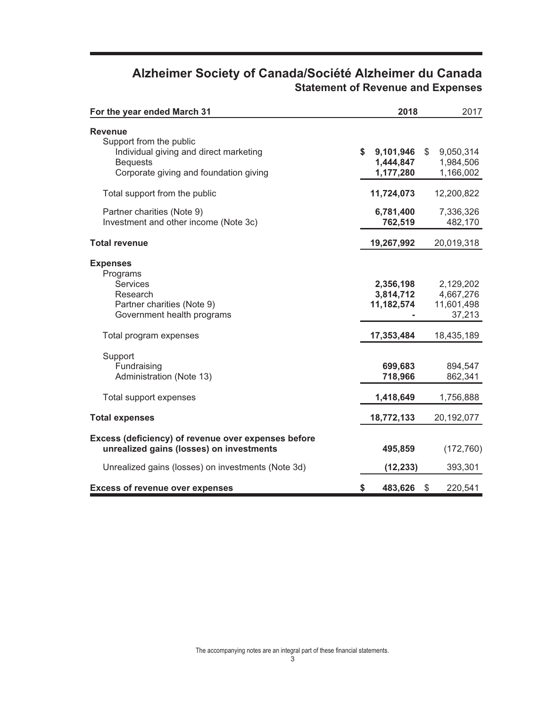# **Alzheimer Society of Canada/Société Alzheimer du Canada Statement of Revenue and Expenses**

| For the year ended March 31                                                                                                                      | 2018                                      | 2017                                           |
|--------------------------------------------------------------------------------------------------------------------------------------------------|-------------------------------------------|------------------------------------------------|
| <b>Revenue</b><br>Support from the public<br>Individual giving and direct marketing<br><b>Bequests</b><br>Corporate giving and foundation giving | \$<br>9,101,946<br>1,444,847<br>1,177,280 | \$<br>9,050,314<br>1,984,506<br>1,166,002      |
| Total support from the public                                                                                                                    | 11,724,073                                | 12,200,822                                     |
| Partner charities (Note 9)<br>Investment and other income (Note 3c)                                                                              | 6,781,400<br>762,519                      | 7,336,326<br>482,170                           |
| <b>Total revenue</b>                                                                                                                             | 19,267,992                                | 20,019,318                                     |
| <b>Expenses</b><br>Programs<br><b>Services</b><br>Research<br>Partner charities (Note 9)<br>Government health programs                           | 2,356,198<br>3,814,712<br>11,182,574      | 2,129,202<br>4,667,276<br>11,601,498<br>37,213 |
| Total program expenses                                                                                                                           | 17,353,484                                | 18,435,189                                     |
| Support<br>Fundraising<br>Administration (Note 13)                                                                                               | 699,683<br>718,966                        | 894,547<br>862,341                             |
| Total support expenses                                                                                                                           | 1,418,649                                 | 1,756,888                                      |
| <b>Total expenses</b>                                                                                                                            | 18,772,133                                | 20,192,077                                     |
| Excess (deficiency) of revenue over expenses before<br>unrealized gains (losses) on investments                                                  | 495,859                                   | (172, 760)                                     |
| Unrealized gains (losses) on investments (Note 3d)                                                                                               | (12, 233)                                 | 393,301                                        |
| <b>Excess of revenue over expenses</b>                                                                                                           | \$<br>483,626                             | \$<br>220,541                                  |

The accompanying notes are an integral part of these financial statements.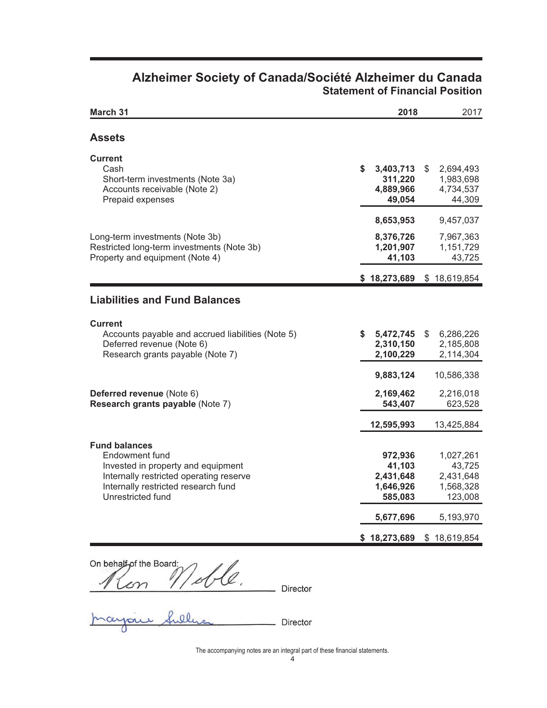| March 31                                                                                                                                                                            | 2018                                                   |               | 2017                                                     |
|-------------------------------------------------------------------------------------------------------------------------------------------------------------------------------------|--------------------------------------------------------|---------------|----------------------------------------------------------|
| <b>Assets</b>                                                                                                                                                                       |                                                        |               |                                                          |
| <b>Current</b><br>Cash<br>Short-term investments (Note 3a)<br>Accounts receivable (Note 2)<br>Prepaid expenses                                                                      | \$<br>3,403,713<br>311,220<br>4,889,966<br>49,054      | \$            | 2,694,493<br>1,983,698<br>4,734,537<br>44,309            |
| Long-term investments (Note 3b)<br>Restricted long-term investments (Note 3b)<br>Property and equipment (Note 4)                                                                    | 8,653,953<br>8,376,726<br>1,201,907<br>41,103          |               | 9,457,037<br>7,967,363<br>1,151,729<br>43,725            |
|                                                                                                                                                                                     | \$18,273,689                                           |               | \$18,619,854                                             |
| <b>Liabilities and Fund Balances</b>                                                                                                                                                |                                                        |               |                                                          |
| <b>Current</b><br>Accounts payable and accrued liabilities (Note 5)<br>Deferred revenue (Note 6)<br>Research grants payable (Note 7)                                                | \$<br>5,472,745<br>2,310,150<br>2,100,229              | $\mathcal{L}$ | 6,286,226<br>2,185,808<br>2,114,304                      |
| Deferred revenue (Note 6)<br>Research grants payable (Note 7)                                                                                                                       | 9,883,124<br>2,169,462<br>543,407                      |               | 10,586,338<br>2,216,018<br>623,528                       |
|                                                                                                                                                                                     | 12,595,993                                             |               | 13,425,884                                               |
| <b>Fund balances</b><br>Endowment fund<br>Invested in property and equipment<br>Internally restricted operating reserve<br>Internally restricted research fund<br>Unrestricted fund | 972,936<br>41,103<br>2,431,648<br>1,646,926<br>585,083 |               | 1,027,261<br>43,725<br>2,431,648<br>1,568,328<br>123,008 |
|                                                                                                                                                                                     | 5,677,696                                              |               | 5,193,970                                                |
|                                                                                                                                                                                     | \$18,273,689                                           |               | \$18,619,854                                             |

## **Alzheimer Society of Canada/Société Alzheimer du Canada Statement of Financial Position**

On behalf-of the Board: Toble. Director

hele mayour Director

The accompanying notes are an integral part of these financial statements.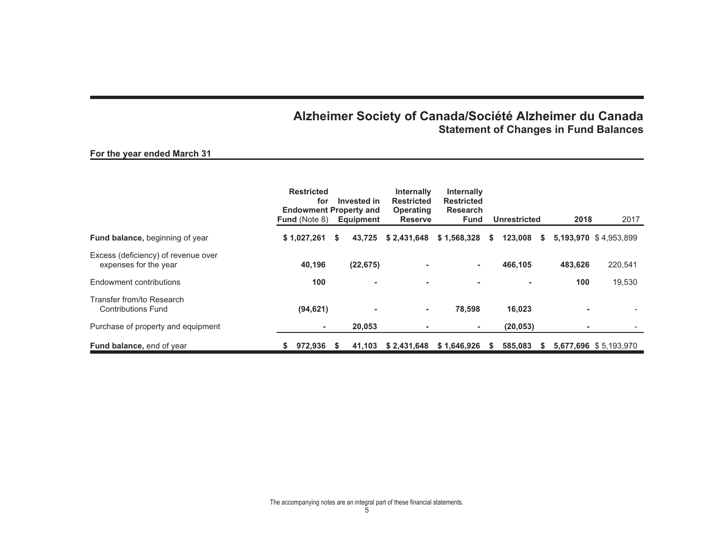## **Alzheimer Society of Canada/Société Alzheimer du Canada Statement of Changes in Fund Balances**

#### **For the year ended March 31**

|                                                              |   | <b>Restricted</b><br>for<br><b>Endowment Property and</b><br><b>Fund</b> (Note 8) |   | Invested in<br><b>Equipment</b> | Internally<br><b>Restricted</b><br>Operating<br><b>Reserve</b> | Internally<br><b>Restricted</b><br><b>Research</b><br><b>Fund</b> |    | <b>Unrestricted</b> |   | 2018    | 2017                  |
|--------------------------------------------------------------|---|-----------------------------------------------------------------------------------|---|---------------------------------|----------------------------------------------------------------|-------------------------------------------------------------------|----|---------------------|---|---------|-----------------------|
| Fund balance, beginning of year                              |   | \$1,027,261                                                                       | S | 43,725                          | \$2,431,648                                                    | \$1,568,328                                                       | S. | 123.008             | S |         | 5,193,970 \$4,953,899 |
| Excess (deficiency) of revenue over<br>expenses for the year |   | 40,196                                                                            |   | (22, 675)                       |                                                                | $\sim$                                                            |    | 466.105             |   | 483.626 | 220,541               |
| Endowment contributions                                      |   | 100                                                                               |   |                                 |                                                                |                                                                   |    |                     |   | 100     | 19,530                |
| Transfer from/to Research<br><b>Contributions Fund</b>       |   | (94, 621)                                                                         |   |                                 | $\sim$                                                         | 78,598                                                            |    | 16,023              |   |         |                       |
| Purchase of property and equipment                           |   |                                                                                   |   | 20,053                          |                                                                |                                                                   |    | (20, 053)           |   |         |                       |
| <b>Fund balance, end of year</b>                             | S | 972.936                                                                           | 5 | 41,103                          | \$2,431,648                                                    | \$1,646,926                                                       | S. | 585,083             | S |         | 5,677,696 \$5,193,970 |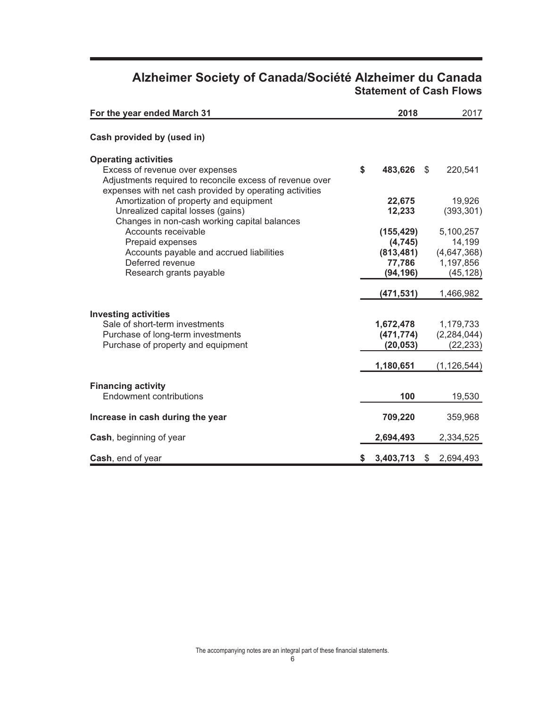# **Alzheimer Society of Canada/Société Alzheimer du Canada Statement of Cash Flows**

| For the year ended March 31                                                                                                                                                           | 2018                                           |              | 2017                                            |
|---------------------------------------------------------------------------------------------------------------------------------------------------------------------------------------|------------------------------------------------|--------------|-------------------------------------------------|
| Cash provided by (used in)                                                                                                                                                            |                                                |              |                                                 |
| <b>Operating activities</b><br>Excess of revenue over expenses<br>Adjustments required to reconcile excess of revenue over<br>expenses with net cash provided by operating activities | \$<br>483,626 \$                               |              | 220,541                                         |
| Amortization of property and equipment<br>Unrealized capital losses (gains)<br>Changes in non-cash working capital balances                                                           | 22,675<br>12,233                               |              | 19,926<br>(393, 301)                            |
| Accounts receivable<br>Prepaid expenses<br>Accounts payable and accrued liabilities<br>Deferred revenue                                                                               | (155, 429)<br>(4, 745)<br>(813, 481)<br>77,786 |              | 5,100,257<br>14,199<br>(4,647,368)<br>1,197,856 |
| Research grants payable                                                                                                                                                               | (94, 196)<br>(471, 531)                        |              | (45, 128)<br>1,466,982                          |
| <b>Investing activities</b><br>Sale of short-term investments<br>Purchase of long-term investments<br>Purchase of property and equipment                                              | 1,672,478<br>(471, 774)<br>(20, 053)           |              | 1,179,733<br>(2, 284, 044)<br>(22, 233)         |
|                                                                                                                                                                                       | 1,180,651                                      |              | (1, 126, 544)                                   |
| <b>Financing activity</b><br>Endowment contributions                                                                                                                                  | 100                                            |              | 19,530                                          |
| Increase in cash during the year                                                                                                                                                      | 709,220                                        |              | 359,968                                         |
| <b>Cash, beginning of year</b>                                                                                                                                                        | 2,694,493                                      |              | 2,334,525                                       |
| Cash, end of year                                                                                                                                                                     | \$<br>3,403,713                                | $\mathbb{S}$ | 2,694,493                                       |

The accompanying notes are an integral part of these financial statements.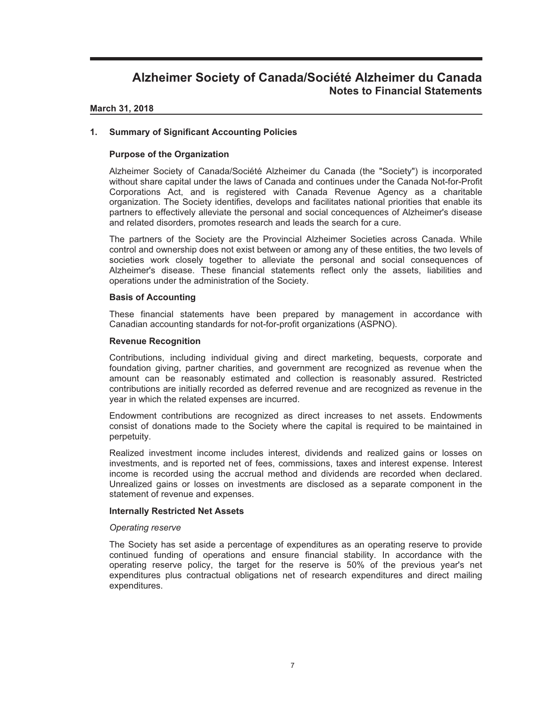## **March 31, 2018**

### **1. Summary of Significant Accounting Policies**

### **Purpose of the Organization**

Alzheimer Society of Canada/Société Alzheimer du Canada (the "Society") is incorporated without share capital under the laws of Canada and continues under the Canada Not-for-Profit Corporations Act, and is registered with Canada Revenue Agency as a charitable organization. The Society identifies, develops and facilitates national priorities that enable its partners to effectively alleviate the personal and social concequences of Alzheimer's disease and related disorders, promotes research and leads the search for a cure.

The partners of the Society are the Provincial Alzheimer Societies across Canada. While control and ownership does not exist between or among any of these entities, the two levels of societies work closely together to alleviate the personal and social consequences of Alzheimer's disease. These financial statements reflect only the assets, liabilities and operations under the administration of the Society.

#### **Basis of Accounting**

These financial statements have been prepared by management in accordance with Canadian accounting standards for not-for-profit organizations (ASPNO).

### **Revenue Recognition**

Contributions, including individual giving and direct marketing, bequests, corporate and foundation giving, partner charities, and government are recognized as revenue when the amount can be reasonably estimated and collection is reasonably assured. Restricted contributions are initially recorded as deferred revenue and are recognized as revenue in the year in which the related expenses are incurred.

Endowment contributions are recognized as direct increases to net assets. Endowments consist of donations made to the Society where the capital is required to be maintained in perpetuity.

Realized investment income includes interest, dividends and realized gains or losses on investments, and is reported net of fees, commissions, taxes and interest expense. Interest income is recorded using the accrual method and dividends are recorded when declared. Unrealized gains or losses on investments are disclosed as a separate component in the statement of revenue and expenses.

### **Internally Restricted Net Assets**

#### *Operating reserve*

The Society has set aside a percentage of expenditures as an operating reserve to provide continued funding of operations and ensure financial stability. In accordance with the operating reserve policy, the target for the reserve is 50% of the previous year's net expenditures plus contractual obligations net of research expenditures and direct mailing expenditures.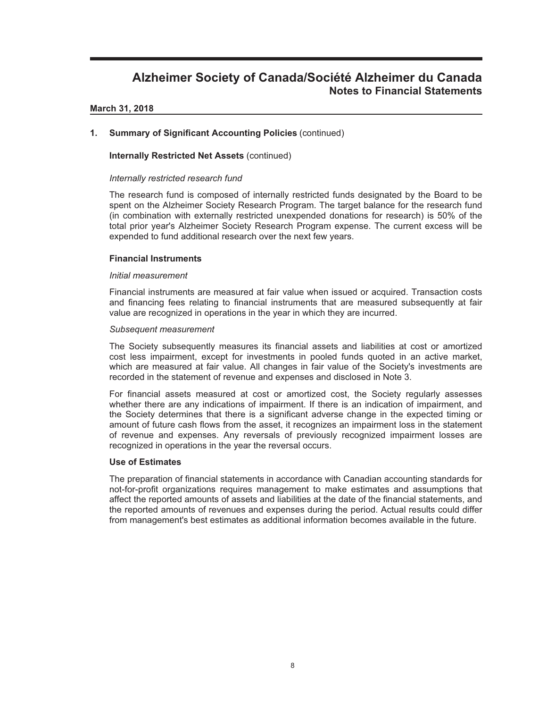### **March 31, 2018**

## **1. Summary of Significant Accounting Policies** (continued)

**Internally Restricted Net Assets** (continued)

#### *Internally restricted research fund*

The research fund is composed of internally restricted funds designated by the Board to be spent on the Alzheimer Society Research Program. The target balance for the research fund (in combination with externally restricted unexpended donations for research) is 50% of the total prior year's Alzheimer Society Research Program expense. The current excess will be expended to fund additional research over the next few years.

### **Financial Instruments**

#### *Initial measurement*

Financial instruments are measured at fair value when issued or acquired. Transaction costs and financing fees relating to financial instruments that are measured subsequently at fair value are recognized in operations in the year in which they are incurred.

#### *Subsequent measurement*

The Society subsequently measures its financial assets and liabilities at cost or amortized cost less impairment, except for investments in pooled funds quoted in an active market, which are measured at fair value. All changes in fair value of the Society's investments are recorded in the statement of revenue and expenses and disclosed in Note 3.

For financial assets measured at cost or amortized cost, the Society regularly assesses whether there are any indications of impairment. If there is an indication of impairment, and the Society determines that there is a significant adverse change in the expected timing or amount of future cash flows from the asset, it recognizes an impairment loss in the statement of revenue and expenses. Any reversals of previously recognized impairment losses are recognized in operations in the year the reversal occurs.

#### **Use of Estimates**

The preparation of financial statements in accordance with Canadian accounting standards for not-for-profit organizations requires management to make estimates and assumptions that affect the reported amounts of assets and liabilities at the date of the financial statements, and the reported amounts of revenues and expenses during the period. Actual results could differ from management's best estimates as additional information becomes available in the future.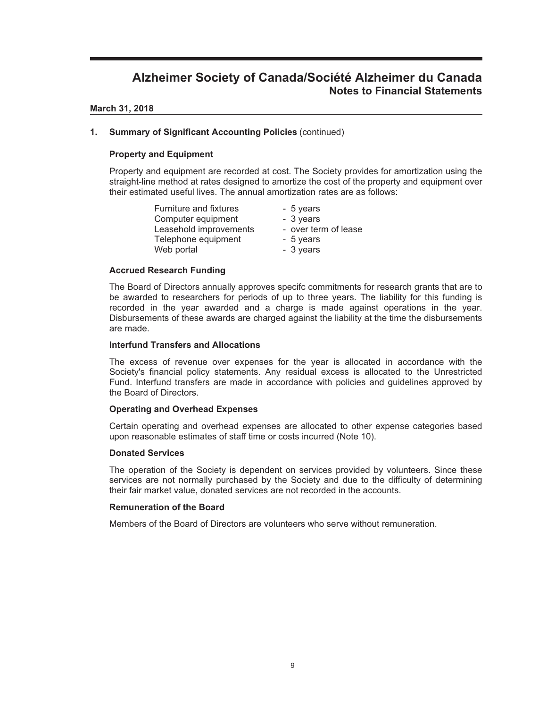### **March 31, 2018**

### **1. Summary of Significant Accounting Policies** (continued)

### **Property and Equipment**

Property and equipment are recorded at cost. The Society provides for amortization using the straight-line method at rates designed to amortize the cost of the property and equipment over their estimated useful lives. The annual amortization rates are as follows:

| - 5 years            |
|----------------------|
| - 3 years            |
| - over term of lease |
| - 5 years            |
| - 3 years            |
|                      |

### **Accrued Research Funding**

The Board of Directors annually approves specifc commitments for research grants that are to be awarded to researchers for periods of up to three years. The liability for this funding is recorded in the year awarded and a charge is made against operations in the year. Disbursements of these awards are charged against the liability at the time the disbursements are made.

## **Interfund Transfers and Allocations**

The excess of revenue over expenses for the year is allocated in accordance with the Society's financial policy statements. Any residual excess is allocated to the Unrestricted Fund. Interfund transfers are made in accordance with policies and guidelines approved by the Board of Directors.

#### **Operating and Overhead Expenses**

Certain operating and overhead expenses are allocated to other expense categories based upon reasonable estimates of staff time or costs incurred (Note 10).

#### **Donated Services**

The operation of the Society is dependent on services provided by volunteers. Since these services are not normally purchased by the Society and due to the difficulty of determining their fair market value, donated services are not recorded in the accounts.

#### **Remuneration of the Board**

Members of the Board of Directors are volunteers who serve without remuneration.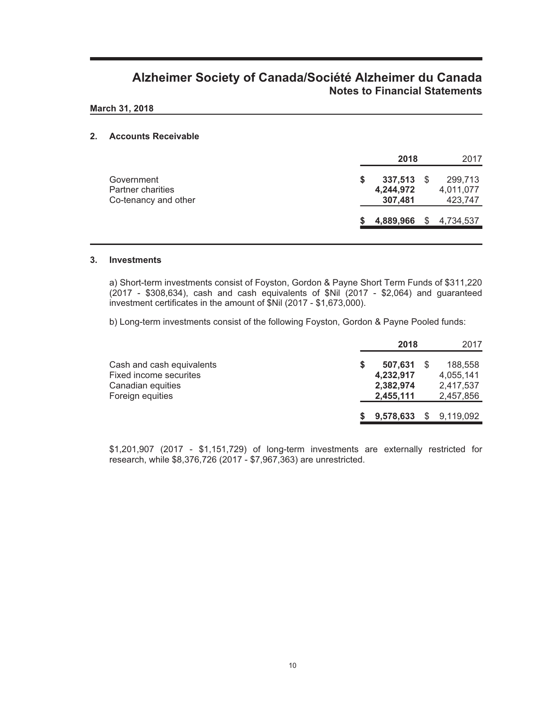## **March 31, 2018**

## **2. Accounts Receivable**

|                                                         | 2018                            |    | 2017                            |
|---------------------------------------------------------|---------------------------------|----|---------------------------------|
| Government<br>Partner charities<br>Co-tenancy and other | 337,513<br>4,244,972<br>307,481 | -S | 299,713<br>4,011,077<br>423,747 |
|                                                         | 4,889,966                       |    | 4,734,537                       |

## **3. Investments**

a) Short-term investments consist of Foyston, Gordon & Payne Short Term Funds of \$311,220 (2017 - \$308,634), cash and cash equivalents of \$Nil (2017 - \$2,064) and guaranteed investment certificates in the amount of \$Nil (2017 - \$1,673,000).

b) Long-term investments consist of the following Foyston, Gordon & Payne Pooled funds:

|                                                                                              |   | 2018                                           | 2017                                           |  |  |
|----------------------------------------------------------------------------------------------|---|------------------------------------------------|------------------------------------------------|--|--|
| Cash and cash equivalents<br>Fixed income securites<br>Canadian equities<br>Foreign equities | S | 507.631<br>4,232,917<br>2,382,974<br>2,455,111 | 188,558<br>4,055,141<br>2,417,537<br>2,457,856 |  |  |
|                                                                                              |   | 9,578,633                                      | 9,119,092                                      |  |  |

\$1,201,907 (2017 - \$1,151,729) of long-term investments are externally restricted for research, while \$8,376,726 (2017 - \$7,967,363) are unrestricted.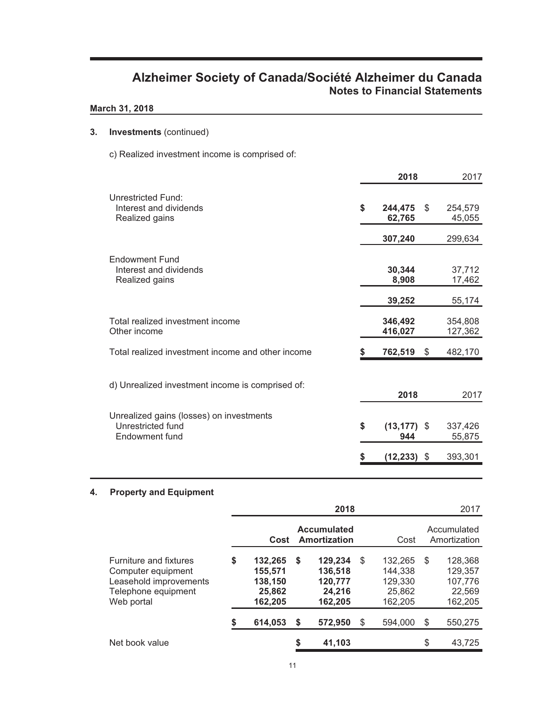## **March 31, 2018**

## **3. Investments** (continued)

c) Realized investment income is comprised of:

|                                                                                 | 2018                        |    | 2017               |
|---------------------------------------------------------------------------------|-----------------------------|----|--------------------|
| Unrestricted Fund:<br>Interest and dividends<br>Realized gains                  | \$<br>244,475<br>62,765     | -S | 254,579<br>45,055  |
|                                                                                 | 307,240                     |    | 299,634            |
| Endowment Fund<br>Interest and dividends                                        | 30,344                      |    | 37,712             |
| Realized gains                                                                  | 8,908                       |    | 17,462             |
|                                                                                 | 39,252                      |    | 55,174             |
| Total realized investment income<br>Other income                                | 346,492<br>416,027          |    | 354,808<br>127,362 |
| Total realized investment income and other income                               | 762,519                     | \$ | 482,170            |
| d) Unrealized investment income is comprised of:                                | 2018                        |    | 2017               |
| Unrealized gains (losses) on investments<br>Unrestricted fund<br>Endowment fund | \$<br>$(13, 177)$ \$<br>944 |    | 337,426<br>55,875  |
|                                                                                 | $(12, 233)$ \$              |    | 393,301            |
|                                                                                 |                             |    |                    |

## **4. Property and Equipment**

|                                                                                                             |                                                          |    | 2018                                               |   |                                                    | 2017                                                     |
|-------------------------------------------------------------------------------------------------------------|----------------------------------------------------------|----|----------------------------------------------------|---|----------------------------------------------------|----------------------------------------------------------|
|                                                                                                             | Cost                                                     |    | Accumulated<br>Amortization                        |   | Cost                                               | Accumulated<br>Amortization                              |
| Furniture and fixtures<br>Computer equipment<br>Leasehold improvements<br>Telephone equipment<br>Web portal | \$<br>132,265<br>155,571<br>138,150<br>25,862<br>162,205 | \$ | 129.234<br>136,518<br>120,777<br>24.216<br>162,205 | S | 132,265<br>144,338<br>129,330<br>25,862<br>162,205 | \$<br>128,368<br>129,357<br>107,776<br>22.569<br>162,205 |
|                                                                                                             | 614,053                                                  | S  | 572,950                                            | S | 594.000                                            | \$<br>550,275                                            |
| Net book value                                                                                              |                                                          | \$ | 41.103                                             |   |                                                    | \$<br>43.725                                             |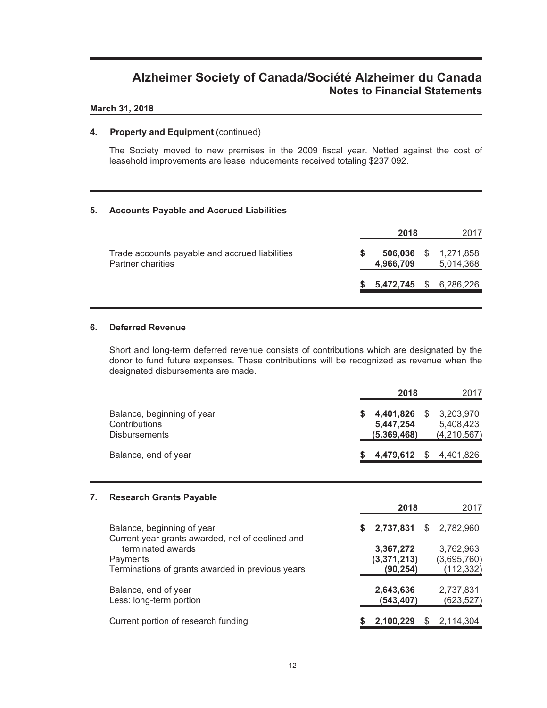## **March 31, 2018**

## **4.** Property and Equipment (continued)

The Society moved to new premises in the 2009 fiscal year. Netted against the cost of leasehold improvements are lease inducements received totaling \$237,092.

## **5. Accounts Payable and Accrued Liabilities**

|                                                                            | 2018                      | 2017 |                                   |
|----------------------------------------------------------------------------|---------------------------|------|-----------------------------------|
| Trade accounts payable and accrued liabilities<br><b>Partner charities</b> | 4,966,709                 |      | 506,036 \$ 1,271,858<br>5,014,368 |
|                                                                            | $$5,472,745$ $$6,286,226$ |      |                                   |

## **6. Deferred Revenue**

Short and long-term deferred revenue consists of contributions which are designated by the donor to fund future expenses. These contributions will be recognized as revenue when the designated disbursements are made.

|                                                                     | 2018                                     | 2017 |                                       |
|---------------------------------------------------------------------|------------------------------------------|------|---------------------------------------|
| Balance, beginning of year<br>Contributions<br><b>Disbursements</b> | 4,401,826 \$<br>5,447,254<br>(5,369,468) |      | 3,203,970<br>5,408,423<br>(4,210,567) |
| Balance, end of year                                                | <b>4,479,612</b> \$ 4,401,826            |      |                                       |

## **7. Research Grants Payable**

| Balance, beginning of year<br>Current year grants awarded, net of declined and    | $$2,737,831$ $$2,782,960$               |                                        |
|-----------------------------------------------------------------------------------|-----------------------------------------|----------------------------------------|
| terminated awards<br>Payments<br>Terminations of grants awarded in previous years | 3,367,272<br>(3, 371, 213)<br>(90, 254) | 3,762,963<br>(3,695,760)<br>(112, 332) |
| Balance, end of year<br>Less: long-term portion                                   | 2,643,636<br>(543, 407)                 | 2,737,831<br>(623, 527)                |
| Current portion of research funding                                               | 2,100,229                               | 2,114,304                              |

**2018** 2017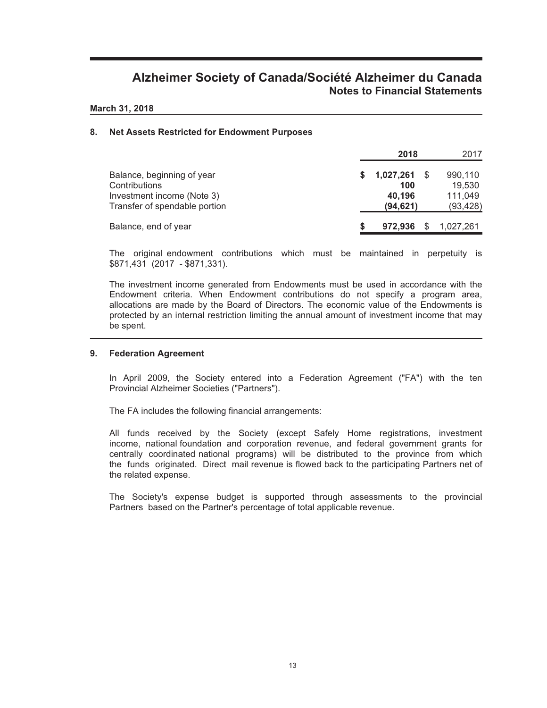### **March 31, 2018**

## **8. Net Assets Restricted for Endowment Purposes**

|                               |   | 2018      | 2017      |
|-------------------------------|---|-----------|-----------|
| Balance, beginning of year    | S | 1,027,261 | 990,110   |
| Contributions                 |   | 100       | 19,530    |
| Investment income (Note 3)    |   | 40.196    | 111.049   |
| Transfer of spendable portion |   | (94, 621) | (93, 428) |
| Balance, end of year          |   | 972,936   | 1,027,261 |

The original endowment contributions which must be maintained in perpetuity is \$871,431 (2017 - \$871,331).

The investment income generated from Endowments must be used in accordance with the Endowment criteria. When Endowment contributions do not specify a program area, allocations are made by the Board of Directors. The economic value of the Endowments is protected by an internal restriction limiting the annual amount of investment income that may be spent.

### **9. Federation Agreement**

In April 2009, the Society entered into a Federation Agreement ("FA") with the ten Provincial Alzheimer Societies ("Partners").

The FA includes the following financial arrangements:

All funds received by the Society (except Safely Home registrations, investment income, national foundation and corporation revenue, and federal government grants for centrally coordinated national programs) will be distributed to the province from which the funds originated. Direct mail revenue is flowed back to the participating Partners net of the related expense.

The Society's expense budget is supported through assessments to the provincial Partners based on the Partner's percentage of total applicable revenue.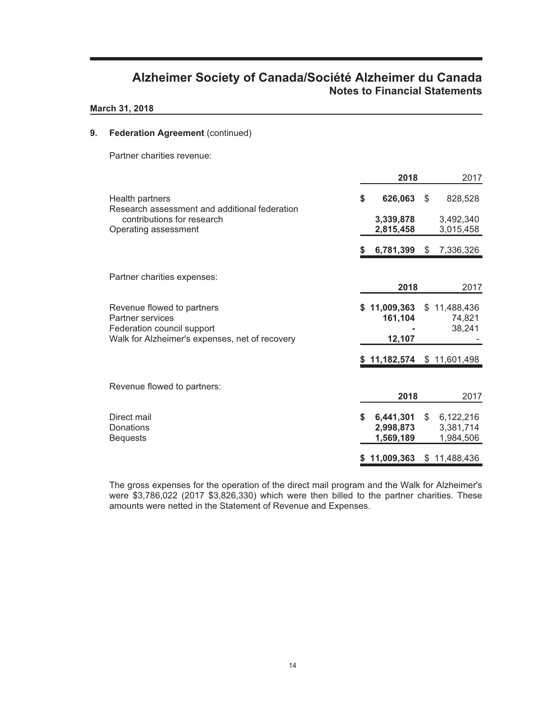## **March 31, 2018**

## **9.** Federation Agreement (continued)

Partner charities revenue:

|                                                                              | 2018                                |    | 2017                                |
|------------------------------------------------------------------------------|-------------------------------------|----|-------------------------------------|
| \$<br>Health partners<br>Research assessment and additional federation       | 626,063                             | \$ | 828,528                             |
| contributions for research<br>Operating assessment                           | 3,339,878<br>2,815,458              |    | 3,492,340<br>3,015,458              |
| S                                                                            | 6,781,399                           | S. | 7,336,326                           |
| Partner charities expenses:                                                  |                                     |    |                                     |
|                                                                              | 2018                                |    | 2017                                |
| Revenue flowed to partners<br>Partner services<br>Federation council support | \$11,009,363<br>161,104             | S  | 11,488,436<br>74,821<br>38,241      |
| Walk for Alzheimer's expenses, net of recovery                               | 12,107                              |    |                                     |
|                                                                              | 11,182,574                          |    | \$11,601,498                        |
| Revenue flowed to partners:                                                  | 2018                                |    | 2017                                |
|                                                                              |                                     |    |                                     |
| Direct mail<br>\$<br>Donations<br><b>Bequests</b>                            | 6,441,301<br>2,998,873<br>1,569,189 | \$ | 6,122,216<br>3,381,714<br>1,984,506 |
|                                                                              | 11,009,363                          |    | \$11,488,436                        |

The gross expenses for the operation of the direct mail program and the Walk for Alzheimer's were \$3,786,022 (2017 \$3,826,330) which were then billed to the partner charities. These amounts were netted in the Statement of Revenue and Expenses.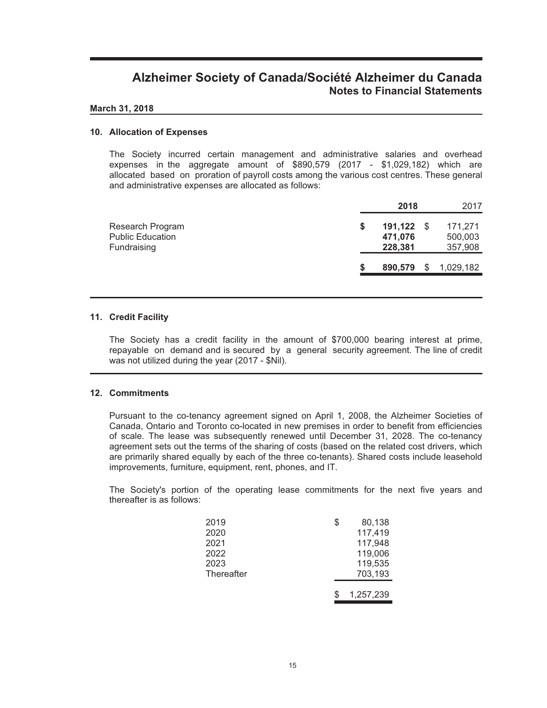### **March 31, 2018**

### **10. Allocation of Expenses**

The Society incurred certain management and administrative salaries and overhead expenses in the aggregate amount of \$890,579 (2017 - \$1,029,182) which are allocated based on proration of payroll costs among the various cost centres. These general and administrative expenses are allocated as follows:

|                                                            |   | 2018                               | 2017                          |
|------------------------------------------------------------|---|------------------------------------|-------------------------------|
| Research Program<br><b>Public Education</b><br>Fundraising | S | $191,122$ \$<br>471,076<br>228,381 | 171,271<br>500,003<br>357,908 |
|                                                            |   | 890,579                            | 1,029,182                     |

### **11. Credit Facility**

The Society has a credit facility in the amount of \$700,000 bearing interest at prime, repayable on demand and is secured by a general security agreement. The line of credit was not utilized during the year (2017 - \$Nil).

## **12. Commitments**

Pursuant to the co-tenancy agreement signed on April 1, 2008, the Alzheimer Societies of Canada, Ontario and Toronto co-located in new premises in order to benefit from efficiencies of scale. The lease was subsequently renewed until December 31, 2028. The co-tenancy agreement sets out the terms of the sharing of costs (based on the related cost drivers, which are primarily shared equally by each of the three co-tenants). Shared costs include leasehold improvements, furniture, equipment, rent, phones, and IT.

The Society's portion of the operating lease commitments for the next five years and thereafter is as follows:

| 2019       | \$<br>80,138 |
|------------|--------------|
| 2020       | 117,419      |
| 2021       | 117,948      |
| 2022       | 119,006      |
| 2023       | 119,535      |
| Thereafter | 703,193      |
|            |              |
|            | 1,257,239    |